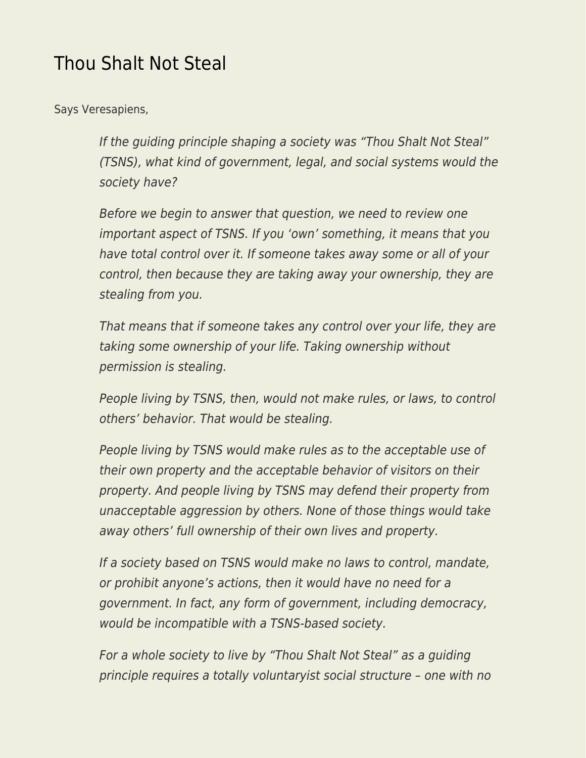## [Thou Shalt Not Steal](https://everything-voluntary.com/thou-shalt-not-steal)

Says Veresapiens,

If the guiding principle shaping a society was "Thou Shalt Not Steal" (TSNS), what kind of government, legal, and social systems would the society have?

Before we begin to answer that question, we need to review one important aspect of TSNS. If you 'own' something, it means that you have total control over it. If someone takes away some or all of your control, then because they are taking away your ownership, they are stealing from you.

That means that if someone takes any control over your life, they are taking some ownership of your life. Taking ownership without permission is stealing.

People living by TSNS, then, would not make rules, or laws, to control others' behavior. That would be stealing.

People living by TSNS would make rules as to the acceptable use of their own property and the acceptable behavior of visitors on their property. And people living by TSNS may defend their property from unacceptable aggression by others. None of those things would take away others' full ownership of their own lives and property.

If a society based on TSNS would make no laws to control, mandate, or prohibit anyone's actions, then it would have no need for a government. In fact, any form of government, including democracy, would be incompatible with a TSNS-based society.

For a whole society to live by "Thou Shalt Not Steal" as a guiding principle requires a totally voluntaryist social structure – one with no